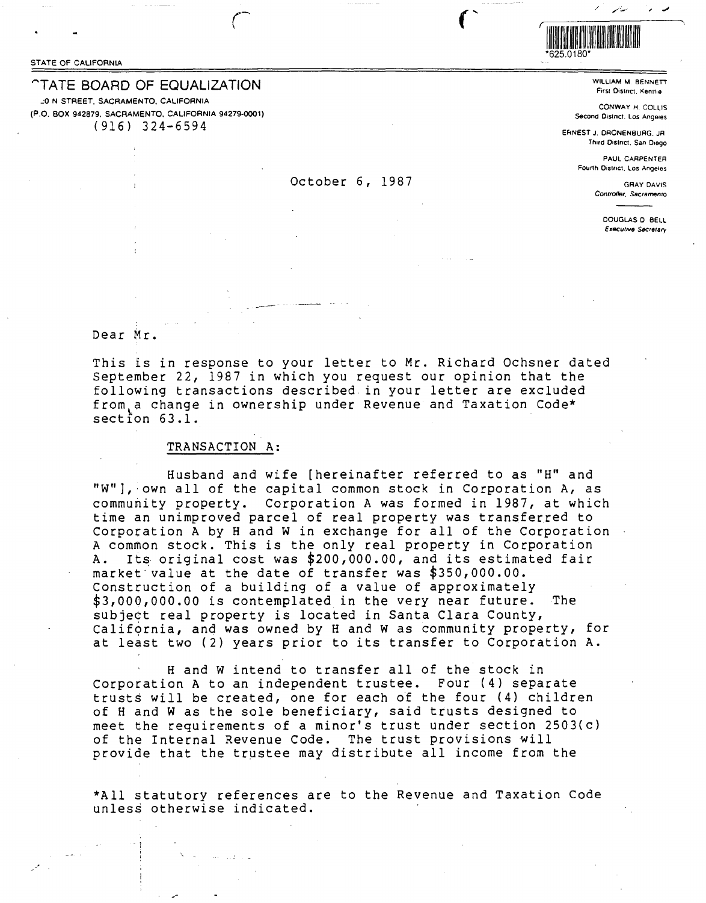STATE OF CALIFORNIA

# *CTATE BOARD OF EQUALIZATION*

20 N STREET, SACRAMENTO, CALIFORNIA (P.O. BOX 942879, SACRAMENTO, CALIFORNIA 94279-0001)  $(916)$  324-6594



WILLIAM M. BENNETT First District, Kenthe

CONWAY H. COLLIS Second District, Los Angeles

ERNEST J. DRONENBURG, JR Third District, San Diego

> PAUL CARPENTER Fourth District, Los Angeles

> > **GRAY DAVIS** Controller, Sacramento

> > > DOUGLAS D BELL Executive Secretary

Dear Mr.

This is in response to your letter to Mr. Richard Ochsner dated September 22, 1987 in which you request our opinion that the following transactions described in your letter are excluded from a change in ownership under Revenue and Taxation Code\*  $section 63.1.$ 

October 6, 1987

# TRANSACTION A:

Husband and wife [hereinafter referred to as "H" and "W"], own all of the capital common stock in Corporation A, as community property. Corporation A was formed in 1987, at which time an unimproved parcel of real property was transferred to Corporation A by H and W in exchange for all of the Corporation A common stock. This is the only real property in Corporation Its original cost was \$200,000.00, and its estimated fair A. market value at the date of transfer was \$350,000.00. Construction of a building of a value of approximately \$3,000,000.00 is contemplated in the very near future. The subject real property is located in Santa Clara County, California, and was owned by H and W as community property, for at least two (2) years prior to its transfer to Corporation A.

H and W intend to transfer all of the stock in Corporation A to an independent trustee. Four (4) separate trusts will be created, one for each of the four (4) children of H and W as the sole beneficiary, said trusts designed to meet the requirements of a minor's trust under section 2503(c) of the Internal Revenue Code. The trust provisions will provide that the trustee may distribute all income from the

\*All statutory references are to the Revenue and Taxation Code unless otherwise indicated.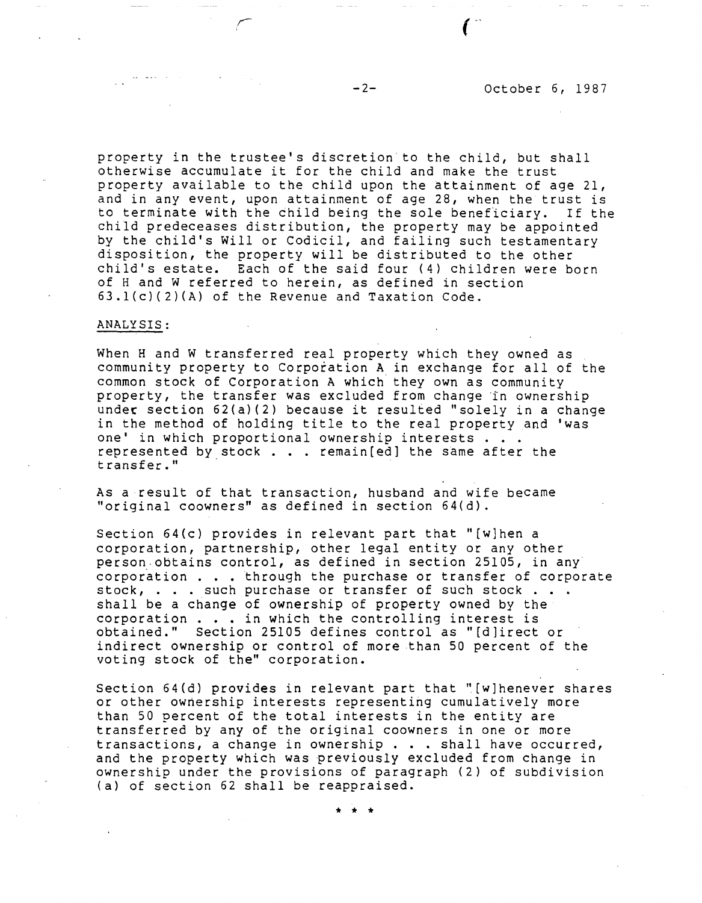property in the trustee's discretion to the child, but shall otherwise accumulate it for the child and make the trust property available to the child upon the attainment of age 21, and in any event, upon attainment of age 28, when the trust is<br>to terminate with the child being the sole beneficiary. If the to terminate with the child being the sole beneficiary. child predeceases distribution, the property may be appointed by the child's Will or Codicil, and failing such testamentary disposition, the property will be distributed to the other child's estate. Each of the said four (4) children were born of Hand W referred to herein, as defined in section 63.l(c)(2){A) of the Revenue and Taxation Code.

#### **ANALYSIS:**

When H and W transferred real property which they owned as community property to Corporation A in exchange for all of the common stock of Corporation A which they own as community property, the transfer was excluded from change in ownership under section 62(a)(2) because it resulted "solely in a change under section 62(a)(2) because it resulted "solely in a chanow<br>in the method of holding title to the real property and 'was<br>one' in which proportional ownership interests . . .<br>represented by stock . . . remain[ed] the sam represented by stock . . . remain[ed] the same after the<br>transfer."

As a result of that transaction, husband and wife became "original coowners" as defined in section 64(d).

Section 64(c) provides in relevant part that "[w]hen a corporation, partnership, other legal entity or any other person obtains control, as defined in section 25105, in any corporation . . . through the purchase or transfer of corporate stock, ... such purchase or transfer of such stock ... shall be a change of ownership of property owned by the corporation  $\ldots$  in which the controlling interest is obtained." Section 25105 defines control as "[d]irect or indirect ownership or control of more than 50 percent of the voting stock of the" corporation.

Section 64(d) provides in relevant part that "[w]henever shares or other ownership interests representing cumulatively more than 50 percent of the total interests in the entity are transferred by any of the original coowners in one or more transactions, a change in ownership ... shall have occurred, and the property which was previously excluded from change in ownership under the provisions of paragraph (2) of subdivision (a) of section 62 shall be reappraised.

\* \* \*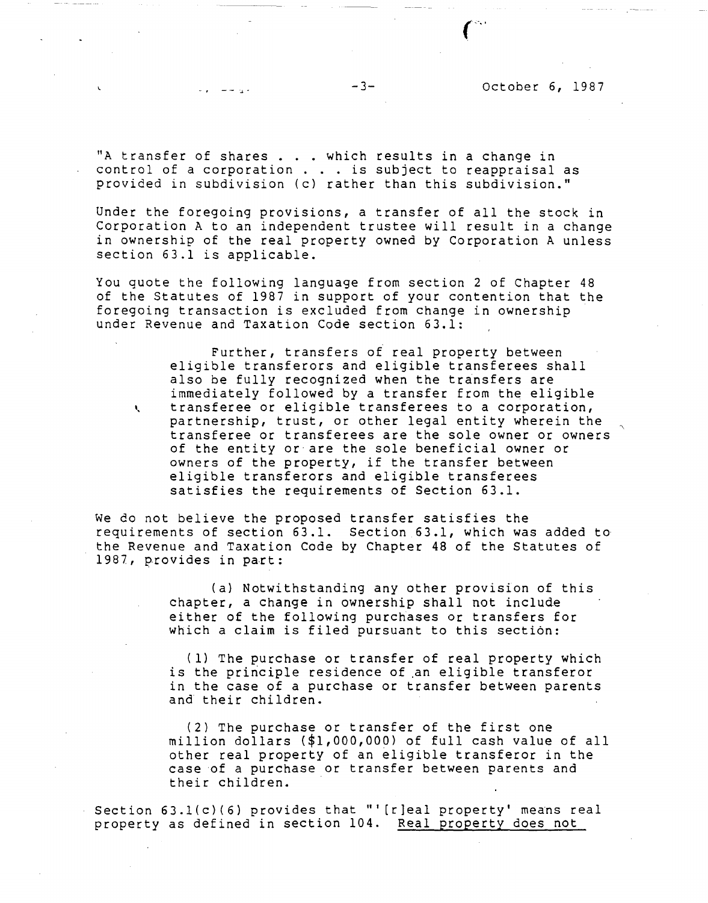"A transfer of shares . . . which results in a change in<br>Control of a corporation "A transfer of shares . . . which results in a change in<br>control of a corporation . . . is subject to reappraisal as control of a corporation  $\ldots$  is subject to reappraisal as provided in subdivision (c) rather than this subdivision."

Under the foregoing provisions, a transfer of all the stock in Corporation A to an independent trustee will result in a change in ownership of the real property owned by Corporation A unless section 63.1 is applicable.

You quote the following language from section 2 of Chapter 48 of the Statutes of 1987 in support of your contention that the foregoing transaction is excluded from change in ownership under Revenue and Taxation Code section 63.1:

Further, transfers of real property between eligible transferors and eligible transferees shall also be fully recognized when the transfers are immediately followed by a transfer from the eligible <sup>~</sup>transferee or eligible transferees to a corporation, partnership, trust, or other legal entity wherein the transferee or transferees are the sole owner or owners of the entity or are the sole beneficial owner or owners of the property, if the transfer between eligible transferors and eligible transferees satisfies the requirements of Section 63.1.

We do not believe the proposed transfer satisfies the requirements of section 63.1. Section 63.1, which was added to the Revenue and Taxation Code by Chapter 48 of the Statutes of 1987, provides in part:

> (a) Notwithstanding any other provision of this chapter, a change in ownership shall not include either of the following purchases or transfers for which a claim is filed pursuant to this section:

(1) The purchase or transfer of real property which is the principle residence of an eligible transferor in the case of a purchase or transfer between parents and their children.

(2) The purchase or transfer of the first one million dollars (\$1,000,000) of full cash value of all other real property of an eligible transferor in the case of a purchase or transfer between parents and their children.

Section 63.l(c)(6) provides that "' [r]eal property' means real property as defined in section 104. Real property does not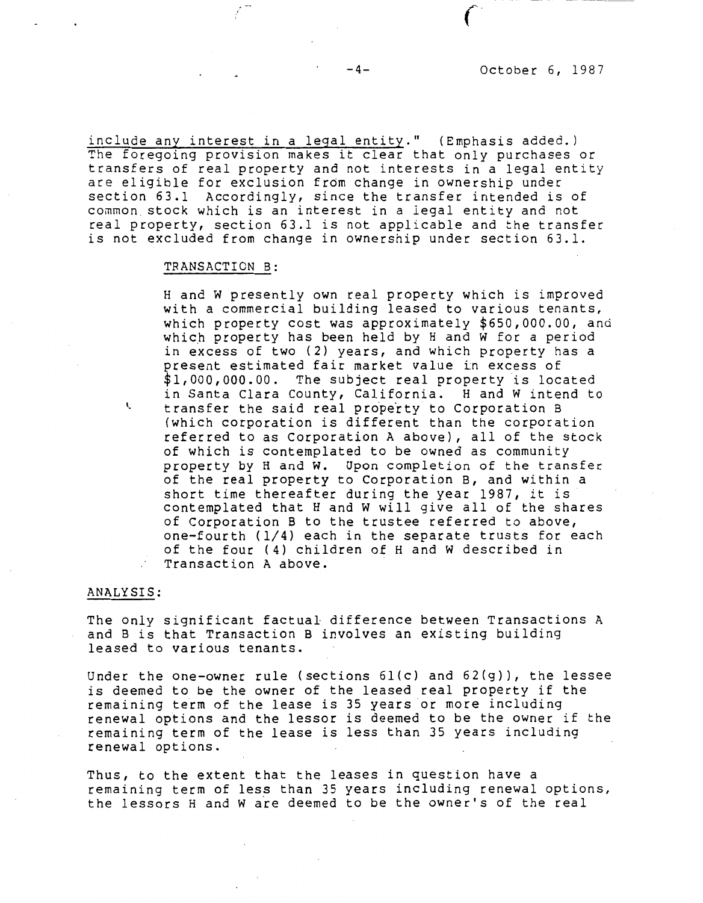include any interest in a legal entity." (Emphasis added.) The foregoing provision makes it clear that only purchases or transfers of real property and not interests in a legal entity are eligible for exclusion from change in ownership under section 63.1 Accordingly, since the transfer intended is of common stock which is an interest in a legal entity and not real property, section 63.l is not applicable and the transfer is not excluded from change in ownership under section 63.1.

### **TRANSACTION** B:

Hand w presently own real property which is improved with a commercial building leased to various tenants, which property cost was approximately \$[650,000.00](https://650,000.00), and which property has been held by H and W for a period in excess of two (2) years, and which property has a present estimated fair market value in excess of \$[1,000,000.00](https://1,000,000.00). The subject real property is located in Santa Clara County, California. Hand w intend to ' transfer the said real property to Corporation B (which corporation is different than the corporation referred to as Corporation A above), all of the stock of which is contemplated to be owned as community property by Hand w. Upon completion of the transfer of the real property to Corporation B, and within a short time thereafter during the year 1987, it is contemplated that Hand W will give all of the shares of Corporation B to the trustee referred to above, one-fourth (1/4) each in the separate trusts for each of the four (4) children of Hand W described in Transaction A above.

### **ANALYSIS:**

The only significant factual difference between Transactions A and Bis that Transaction B involves an existing building leased to various tenants.

Under the one-owner rule (sections 6l(c) and 62(g)), the lessee is deemed to be the owner of the leased real property if the remaining term of the lease is 35 years or more including renewal options and the lessor is deemed to be the owner if the remaining term of the lease is less than 35 years including renewal options.

Thus, to the extent that the leases in question have a remaining term of less than 35 years including renewal options, the lessors Hand w *aie* deemed to be the owner's of the real